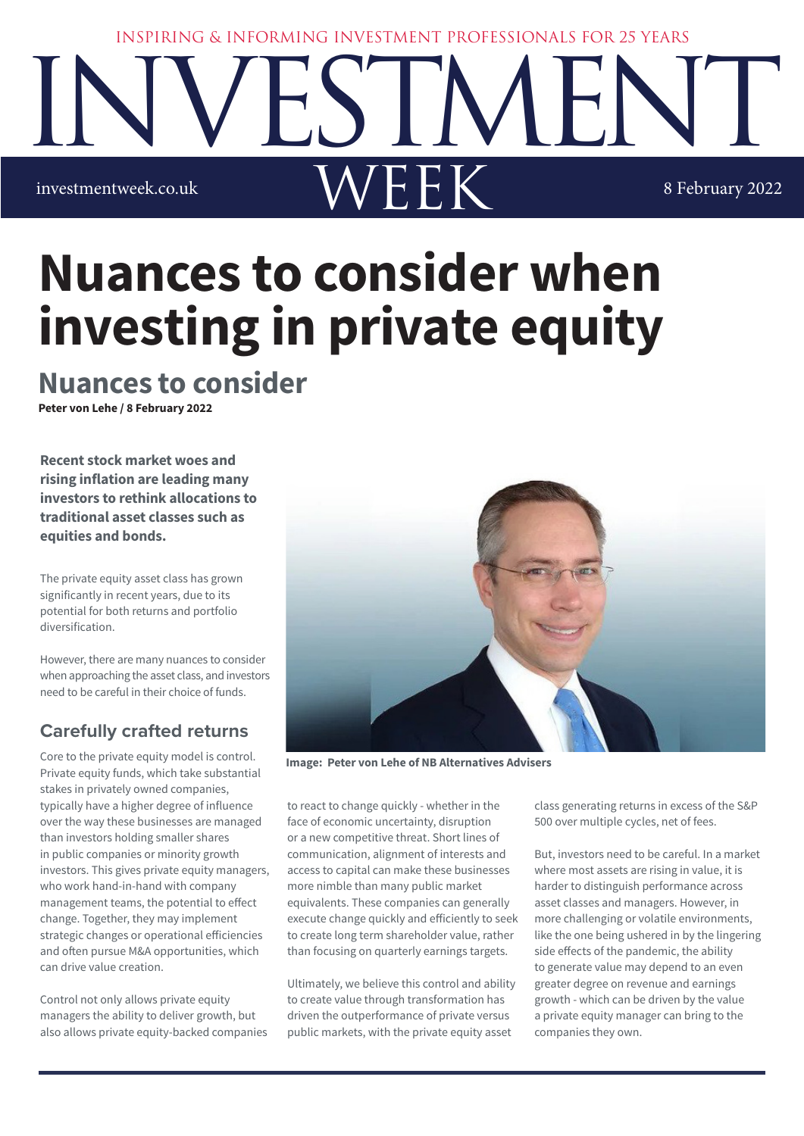#### INSPIRING & INFORMING INVESTMENT PROFESSIONALS FOR 25 YEARS



# **Nuances to consider when investing in private equity**

## **Nuances to consider**

**Peter von Lehe / 8 February 2022**

**Recent stock market woes and rising inflation are leading many investors to rethink allocations to traditional asset classes such as equities and bonds.** 

The private equity asset class has grown significantly in recent years, due to its potential for both returns and portfolio diversification.

However, there are many nuances to consider when approaching the asset class, and investors need to be careful in their choice of funds.

## **Carefully crafted returns**

Core to the private equity model is control. Private equity funds, which take substantial stakes in privately owned companies, typically have a higher degree of influence over the way these businesses are managed than investors holding smaller shares in public companies or minority growth investors. This gives private equity managers, who work hand-in-hand with company management teams, the potential to effect change. Together, they may implement strategic changes or operational efficiencies and often pursue M&A opportunities, which can drive value creation.

Control not only allows private equity managers the ability to deliver growth, but also allows private equity-backed companies



**Image: Peter von Lehe of NB Alternatives Advisers**

to react to change quickly - whether in the face of economic uncertainty, disruption or a new competitive threat. Short lines of communication, alignment of interests and access to capital can make these businesses more nimble than many public market equivalents. These companies can generally execute change quickly and efficiently to seek to create long term shareholder value, rather than focusing on quarterly earnings targets.

Ultimately, we believe this control and ability to create value through transformation has driven the outperformance of private versus public markets, with the private equity asset

class generating returns in excess of the S&P 500 over multiple cycles, net of fees.

But, investors need to be careful. In a market where most assets are rising in value, it is harder to distinguish performance across asset classes and managers. However, in more challenging or volatile environments, like the one being ushered in by the lingering side effects of the pandemic, the ability to generate value may depend to an even greater degree on revenue and earnings growth - which can be driven by the value a private equity manager can bring to the companies they own.